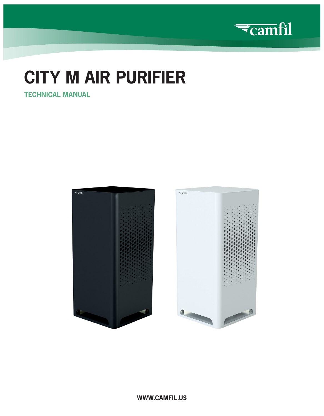

# **CITY M AIR PURIFIER**

**TECHNICAL MANUAL**





**WWW.CAMFIL.US**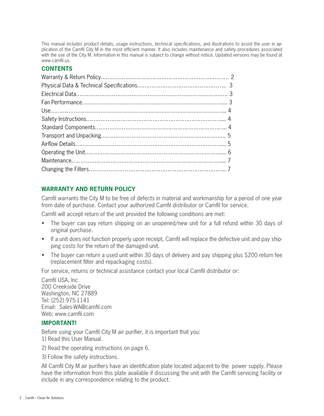This manual includes product details, usage instructions, technical specifications, and illustrations to assist the user in application of the Camfil City M in the most efficient manner. It also includes maintenance and safety procedures associated with the use of the City M. Information in this manual is subject to change without notice. Updated versions may be found at www.camfil.us.

#### **CONTENTS**

#### **WARRANTY AND RETURN POLICY**

Camfil warrants the City M to be free of defects in material and workmanship for a period of one year from date of purchase. Contact your authorized Camfil distributor or Camfil for service.

Camfil will accept return of the unit provided the following conditions are met:

- The buyer can pay return shipping on an unopened/new unit for a full refund within 30 days of original purchase.
- If a unit does not function properly upon receipt, Camfil will replace the defective unit and pay shipping costs for the return of the damaged unit.
- The buyer can return a used unit within 30 days of delivery and pay shipping plus \$200 return fee (replacement filter and repackaging costs).

For service, returns or technical assistance contact your local Camfil distributor or:

Camfil USA, Inc. 200 Creekside Drive Washington, NC 27889 Tel: (252) 975-1141 Email: Sales-WA@camfil.com Web: www.camfil.com

#### **IMPORTANT!**

Before using your Camfil City M air purifier, it is important that you: 1) Read this User Manual.

2) Read the operating instructions on page 6.

3) Follow the safety instructions.

All Camfil City M air purifiers have an identification plate located adjacent to the power supply. Please have the information from this plate available if discussing the unit with the Camfil servicing facility or include in any correspondence relating to the product.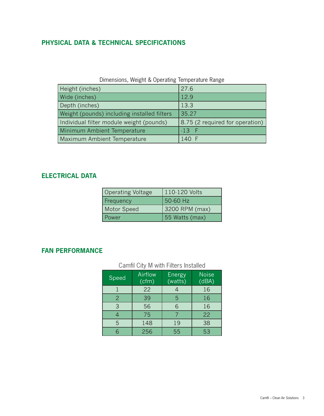## **PHYSICAL DATA & TECHNICAL SPECIFICATIONS**

#### Dimensions, Weight & Operating Temperature Range

| Height (inches)                             | 27.6                            |
|---------------------------------------------|---------------------------------|
| Wide (inches)                               | 12.9                            |
| Depth (inches)                              | 13.3                            |
| Weight (pounds) including installed filters | 35.27                           |
| Individual filter module weight (pounds)    | 8.75 (2 required for operation) |
| Minimum Ambient Temperature                 | $-13$ F                         |
| Maximum Ambient Temperature                 | 140 F                           |

#### **ELECTRICAL DATA**

| <b>Operating Voltage</b> | 110-120 Volts  |
|--------------------------|----------------|
| Frequency                | 50-60 Hz       |
| Motor Speed              | 3200 RPM (max) |
| Power                    | 55 Watts (max) |

### **FAN PERFORMANCE**

# Camfil City M with Filters Installed

| Speed         | Airflow<br>(cfm) | <b>Energy</b><br>(watts) | <b>Noise</b><br>(dBA) |
|---------------|------------------|--------------------------|-----------------------|
|               | 22               |                          | 16                    |
| $\mathcal{P}$ | 39               | 5                        | 16                    |
| 3             | 56               | 6                        | 16                    |
|               | 75               |                          | 22                    |
| 5             | 148              | 19                       | 38                    |
|               | 256              | 55                       | 53                    |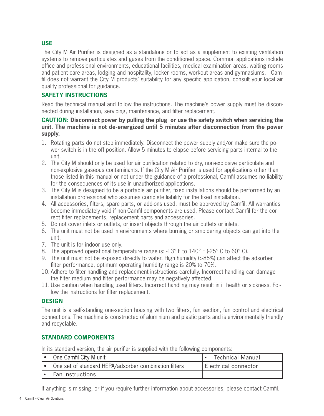#### **USE**

The City M Air Purifier is designed as a standalone or to act as a supplement to existing ventilation systems to remove particulates and gases from the conditioned space. Common applications include office and professional environments, educational facilities, medical examination areas, waiting rooms and patient care areas, lodging and hospitality, locker rooms, workout areas and gymnasiums. Camfil does not warrant the City M products' suitability for any specific application, consult your local air quality professional for guidance.

#### **SAFETY INSTRUCTIONS**

Read the technical manual and follow the instructions. The machine's power supply must be disconnected during installation, servicing, maintenance, and filter replacement.

#### **CAUTION: Disconnect power by pulling the plug or use the safety switch when servicing the unit. The machine is not de-energized until 5 minutes after disconnection from the power supply.**

- 1. Rotating parts do not stop immediately. Disconnect the power supply and/or make sure the power switch is in the off position. Allow 5 minutes to elapse before servicing parts internal to the unit.
- 2. The City M should only be used for air purification related to dry, non-explosive particulate and non-explosive gaseous contaminants. If the City M Air Purifier is used for applications other than those listed in this manual or not under the guidance of a professional, Camfil assumes no liability for the consequences of its use in unauthorized applications.
- 3. The City M is designed to be a portable air purifier, fixed installations should be performed by an installation professional who assumes complete liability for the fixed installation.
- 4. All accessories, filters, spare parts, or add-ons used, must be approved by Camfil. All warranties become immediately void if non-Camfil components are used. Please contact Camfil for the correct filter replacements, replacement parts and accessories.
- 5. Do not cover inlets or outlets, or insert objects through the air outlets or inlets.
- 6. The unit must not be used in environments where burning or smoldering objects can get into the unit.
- 7. The unit is for indoor use only.
- 8. The approved operational temperature range is: -13° F to 140° F (-25° C to 60° C).
- 9. The unit must not be exposed directly to water. High humidity (>85%) can affect the adsorber filter performance, optimum operating humidity range is 20% to 70%.
- 10. Adhere to filter handling and replacement instructions carefully. Incorrect handling can damage the filter medium and filter performance may be negatively affected.
- 11. Use caution when handling used filters. Incorrect handling may result in ill health or sickness. Follow the instructions for filter replacement.

#### **DESIGN**

The unit is a self-standing one-section housing with two filters, fan section, fan control and electrical connections. The machine is constructed of aluminium and plastic parts and is environmentally friendly and recyclable.

#### **STANDARD COMPONENTS**

In its standard version, the air purifier is supplied with the following components:

| One Camfil City M unit                                | <b>Technical Manual</b> |
|-------------------------------------------------------|-------------------------|
| One set of standard HEPA/adsorber combination filters | Electrical connector    |
| Fan instructions                                      |                         |

If anything is missing, or if you require further information about accessories, please contact Camfil.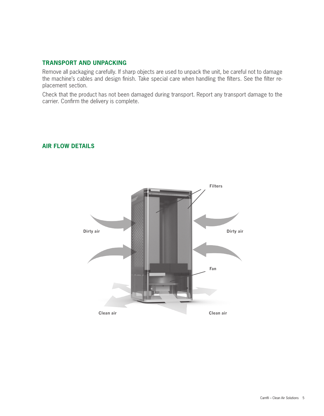#### **TRANSPORT AND UNPACKING**

Remove all packaging carefully. If sharp objects are used to unpack the unit, be careful not to damage the machine's cables and design finish. Take special care when handling the filters. See the filter replacement section.

Check that the product has not been damaged during transport. Report any transport damage to the carrier. Confirm the delivery is complete.



#### **AIR FLOW DETAILS**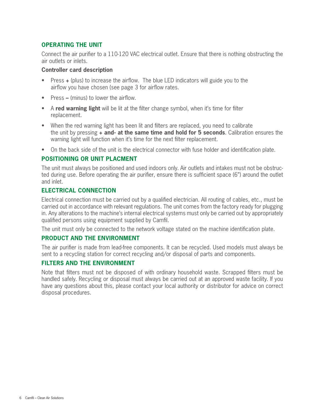#### **OPERATING THE UNIT**

Connect the air purifier to a 110-120 VAC electrical outlet. Ensure that there is nothing obstructing the air outlets or inlets.

#### **Controller card description**

- Press **+** (plus) to increase the airflow. The blue LED indicators will guide you to the airflow you have chosen (see page 3 for airflow rates.
- Press (minus) to lower the airflow.
- A **red warning light** will be lit at the filter change symbol, when it's time for filter replacement.
- When the red warning light has been lit and filters are replaced, you need to calibrate the unit by pressing **+ and- at the same time and hold for 5 seconds**. Calibration ensures the warning light will function when it's time for the next filter replacement.
- On the back side of the unit is the electrical connector with fuse holder and identification plate.

#### **POSITIONING OR UNIT PLACMENT**

The unit must always be positioned and used indoors only. Air outlets and intakes must not be obstructed during use. Before operating the air purifier, ensure there is sufficient space (6") around the outlet and inlet.

#### **ELECTRICAL CONNECTION**

Electrical connection must be carried out by a qualified electrician. All routing of cables, etc., must be carried out in accordance with relevant regulations. The unit comes from the factory ready for plugging in. Any alterations to the machine's internal electrical systems must only be carried out by appropriately qualified persons using equipment supplied by Camfil.

The unit must only be connected to the network voltage stated on the machine identification plate.

#### **PRODUCT AND THE ENVIRONMENT**

The air purifier is made from lead-free components. It can be recycled. Used models must always be sent to a recycling station for correct recycling and/or disposal of parts and components.

#### **FILTERS AND THE ENVIRONMENT**

Note that filters must not be disposed of with ordinary household waste. Scrapped filters must be handled safely. Recycling or disposal must always be carried out at an approved waste facility. If you have any questions about this, please contact your local authority or distributor for advice on correct disposal procedures.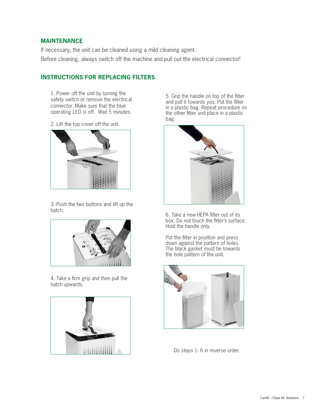#### **MAINTENANCE**

If necessary, the unit can be cleaned using a mild cleaning agent. Before cleaning, always switch off the machine and pull out the electrical connector!

#### **INSTRUCTIONS FOR REPLACING FILTERS**

1. Power off the unit by turning the safety switch or remove the electrical connector. Make sure that the blue operating LED is off. Wait 5 minutes.

2. Lift the top cover off the unit.



3. Push the two buttons and lift up the hatch.



4. Take a firm grip and then pull the hatch upwards.



5. Grip the handle on top of the filter and pull it towards you. Put the filter in a plastic bag. Repeat procedure on the other filter and place in a plastic bag.



6. Take a new HEPA filter out of its box. Do not touch the filter's surface. Hold the handle only.

Put the filter in position and press down against the pattern of holes. The black gasket must be towards the hole pattern of the unit.



Do steps 1- 6 in reverse order.